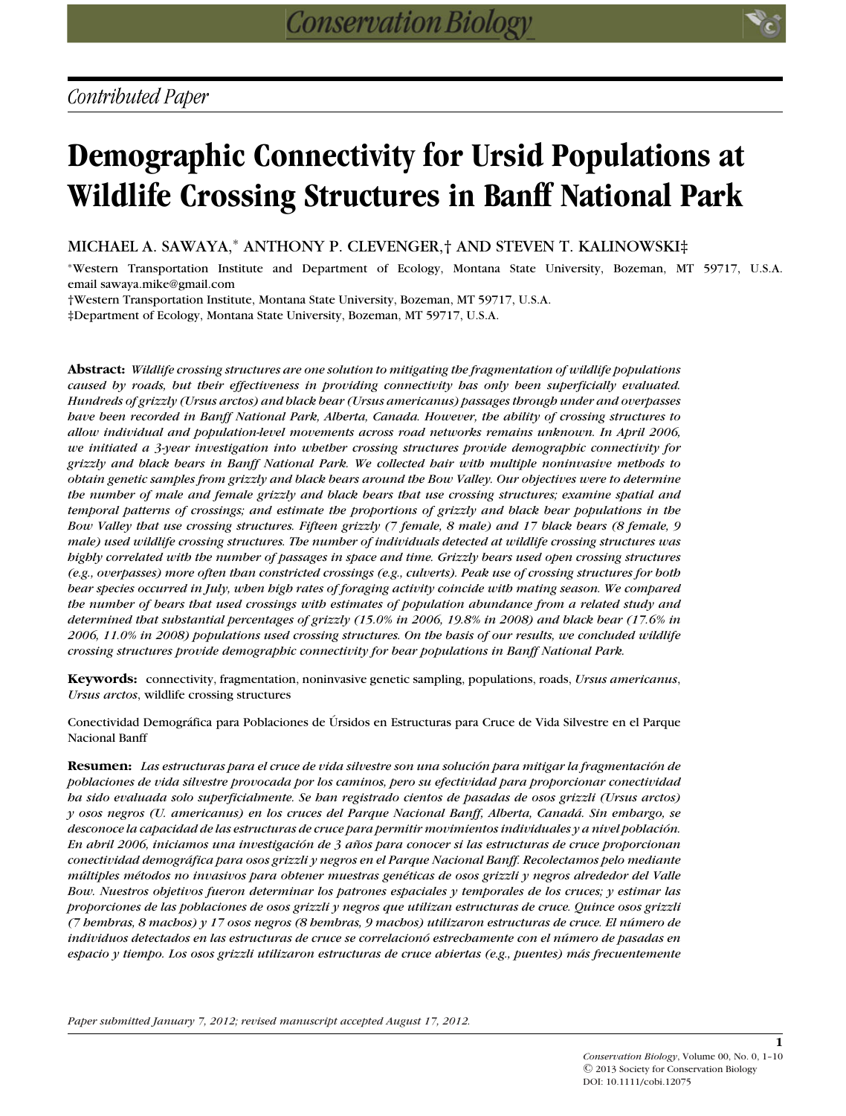# **Demographic Connectivity for Ursid Populations at Wildlife Crossing Structures in Banff National Park**

MICHAEL A. SAWAYA,<sup>∗</sup> ANTHONY P. CLEVENGER,† AND STEVEN T. KALINOWSKI‡

<sup>∗</sup>Western Transportation Institute and Department of Ecology, Montana State University, Bozeman, MT 59717, U.S.A. email sawaya.mike@gmail.com

†Western Transportation Institute, Montana State University, Bozeman, MT 59717, U.S.A. ‡Department of Ecology, Montana State University, Bozeman, MT 59717, U.S.A.

**Abstract:** *Wildlife crossing structures are one solution to mitigating the fragmentation of wildlife populations caused by roads, but their effectiveness in providing connectivity has only been superficially evaluated. Hundreds of grizzly (Ursus arctos) and black bear (Ursus americanus) passages through under and overpasses have been recorded in Banff National Park, Alberta, Canada. However, the ability of crossing structures to allow individual and population-level movements across road networks remains unknown. In April 2006, we initiated a 3-year investigation into whether crossing structures provide demographic connectivity for grizzly and black bears in Banff National Park. We collected hair with multiple noninvasive methods to obtain genetic samples from grizzly and black bears around the Bow Valley. Our objectives were to determine the number of male and female grizzly and black bears that use crossing structures; examine spatial and temporal patterns of crossings; and estimate the proportions of grizzly and black bear populations in the Bow Valley that use crossing structures. Fifteen grizzly (7 female, 8 male) and 17 black bears (8 female, 9 male) used wildlife crossing structures. The number of individuals detected at wildlife crossing structures was highly correlated with the number of passages in space and time. Grizzly bears used open crossing structures (e.g., overpasses) more often than constricted crossings (e.g., culverts). Peak use of crossing structures for both bear species occurred in July, when high rates of foraging activity coincide with mating season. We compared the number of bears that used crossings with estimates of population abundance from a related study and determined that substantial percentages of grizzly (15.0% in 2006, 19.8% in 2008) and black bear (17.6% in 2006, 11.0% in 2008) populations used crossing structures. On the basis of our results, we concluded wildlife crossing structures provide demographic connectivity for bear populations in Banff National Park.*

**Keywords:** connectivity, fragmentation, noninvasive genetic sampling, populations, roads, *Ursus americanus*, *Ursus arctos*, wildlife crossing structures

Conectividad Demográfica para Poblaciones de Úrsidos en Estructuras para Cruce de Vida Silvestre en el Parque Nacional Banff

**Resumen:** *Las estructuras para el cruce de vida silvestre son una solucion para mitigar la fragmentaci ´ on de ´ poblaciones de vida silvestre provocada por los caminos, pero su efectividad para proporcionar conectividad ha sido evaluada solo superficialmente. Se han registrado cientos de pasadas de osos grizzli (Ursus arctos) y osos negros (U. americanus) en los cruces del Parque Nacional Banff, Alberta, Canada. Sin embargo, se ´ desconoce la capacidad de las estructuras de cruce para permitir movimientos individuales y a nivel poblacion. ´ En abril 2006, iniciamos una investigacion de 3 a ´ nos para conocer si las estructuras de cruce proporcionan ˜ conectividad demografica para osos grizzli y negros en el Parque Nacional Banff. Recolectamos pelo mediante ´ multiples m ´ ´etodos no invasivos para obtener muestras gen´eticas de osos grizzli y negros alrededor del Valle Bow. Nuestros objetivos fueron determinar los patrones espaciales y temporales de los cruces; y estimar las proporciones de las poblaciones de osos grizzli y negros que utilizan estructuras de cruce. Quince osos grizzli (7 hembras, 8 machos) y 17 osos negros (8 hembras, 9 machos) utilizaron estructuras de cruce. El numero de ´ individuos detectados en las estructuras de cruce se correlaciono estrechamente con el n ´ umero de pasadas en ´ espacio y tiempo. Los osos grizzli utilizaron estructuras de cruce abiertas (e.g., puentes) mas frecuentemente ´*

**1**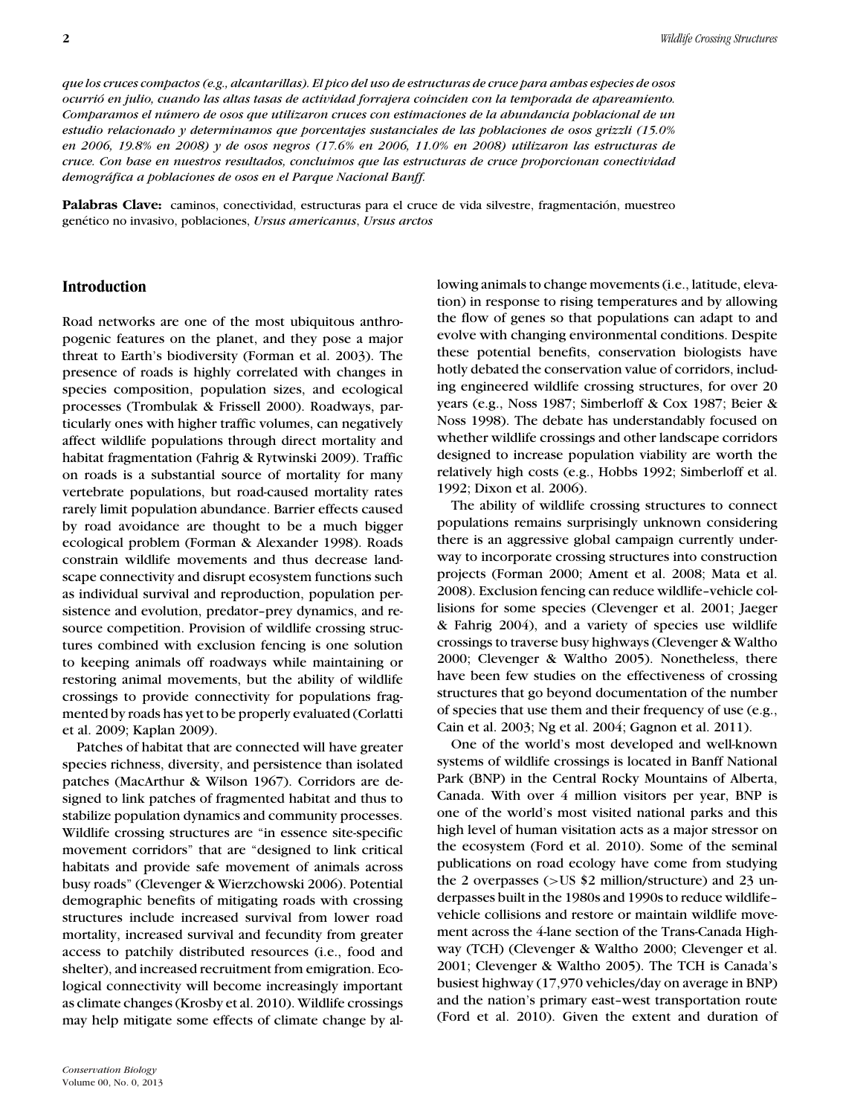*que los cruces compactos (e.g., alcantarillas). El pico del uso de estructuras de cruce para ambas especies de osos ocurrio en julio, cuando las altas tasas de actividad forrajera coinciden con la temporada de apareamiento. ´ Comparamos el numero de osos que utilizaron cruces con estimaciones de la abundancia poblacional de un ´ estudio relacionado y determinamos que porcentajes sustanciales de las poblaciones de osos grizzli (15.0% en 2006, 19.8% en 2008) y de osos negros (17.6% en 2006, 11.0% en 2008) utilizaron las estructuras de cruce. Con base en nuestros resultados, concluimos que las estructuras de cruce proporcionan conectividad demografica a poblaciones de osos en el Parque Nacional Banff. ´*

Palabras Clave: caminos, conectividad, estructuras para el cruce de vida silvestre, fragmentación, muestreo genético no invasivo, poblaciones, *Ursus americanus*, *Ursus arctos* 

## **Introduction**

Road networks are one of the most ubiquitous anthropogenic features on the planet, and they pose a major threat to Earth's biodiversity (Forman et al. 2003). The presence of roads is highly correlated with changes in species composition, population sizes, and ecological processes (Trombulak & Frissell 2000). Roadways, particularly ones with higher traffic volumes, can negatively affect wildlife populations through direct mortality and habitat fragmentation (Fahrig & Rytwinski 2009). Traffic on roads is a substantial source of mortality for many vertebrate populations, but road-caused mortality rates rarely limit population abundance. Barrier effects caused by road avoidance are thought to be a much bigger ecological problem (Forman & Alexander 1998). Roads constrain wildlife movements and thus decrease landscape connectivity and disrupt ecosystem functions such as individual survival and reproduction, population persistence and evolution, predator–prey dynamics, and resource competition. Provision of wildlife crossing structures combined with exclusion fencing is one solution to keeping animals off roadways while maintaining or restoring animal movements, but the ability of wildlife crossings to provide connectivity for populations fragmented by roads has yet to be properly evaluated (Corlatti et al. 2009; Kaplan 2009).

Patches of habitat that are connected will have greater species richness, diversity, and persistence than isolated patches (MacArthur & Wilson 1967). Corridors are designed to link patches of fragmented habitat and thus to stabilize population dynamics and community processes. Wildlife crossing structures are "in essence site-specific movement corridors" that are "designed to link critical habitats and provide safe movement of animals across busy roads" (Clevenger & Wierzchowski 2006). Potential demographic benefits of mitigating roads with crossing structures include increased survival from lower road mortality, increased survival and fecundity from greater access to patchily distributed resources (i.e., food and shelter), and increased recruitment from emigration. Ecological connectivity will become increasingly important as climate changes (Krosby et al. 2010). Wildlife crossings may help mitigate some effects of climate change by allowing animals to change movements (i.e., latitude, elevation) in response to rising temperatures and by allowing the flow of genes so that populations can adapt to and evolve with changing environmental conditions. Despite these potential benefits, conservation biologists have hotly debated the conservation value of corridors, including engineered wildlife crossing structures, for over 20 years (e.g., Noss 1987; Simberloff & Cox 1987; Beier & Noss 1998). The debate has understandably focused on whether wildlife crossings and other landscape corridors designed to increase population viability are worth the relatively high costs (e.g., Hobbs 1992; Simberloff et al. 1992; Dixon et al. 2006).

The ability of wildlife crossing structures to connect populations remains surprisingly unknown considering there is an aggressive global campaign currently underway to incorporate crossing structures into construction projects (Forman 2000; Ament et al. 2008; Mata et al. 2008). Exclusion fencing can reduce wildlife–vehicle collisions for some species (Clevenger et al. 2001; Jaeger & Fahrig 2004), and a variety of species use wildlife crossings to traverse busy highways (Clevenger & Waltho 2000; Clevenger & Waltho 2005). Nonetheless, there have been few studies on the effectiveness of crossing structures that go beyond documentation of the number of species that use them and their frequency of use (e.g., Cain et al. 2003; Ng et al. 2004; Gagnon et al. 2011).

One of the world's most developed and well-known systems of wildlife crossings is located in Banff National Park (BNP) in the Central Rocky Mountains of Alberta, Canada. With over 4 million visitors per year, BNP is one of the world's most visited national parks and this high level of human visitation acts as a major stressor on the ecosystem (Ford et al. 2010). Some of the seminal publications on road ecology have come from studying the 2 overpasses (*>*US \$2 million/structure) and 23 underpasses built in the 1980s and 1990s to reduce wildlife– vehicle collisions and restore or maintain wildlife movement across the 4-lane section of the Trans-Canada Highway (TCH) (Clevenger & Waltho 2000; Clevenger et al. 2001; Clevenger & Waltho 2005). The TCH is Canada's busiest highway (17,970 vehicles/day on average in BNP) and the nation's primary east–west transportation route (Ford et al. 2010). Given the extent and duration of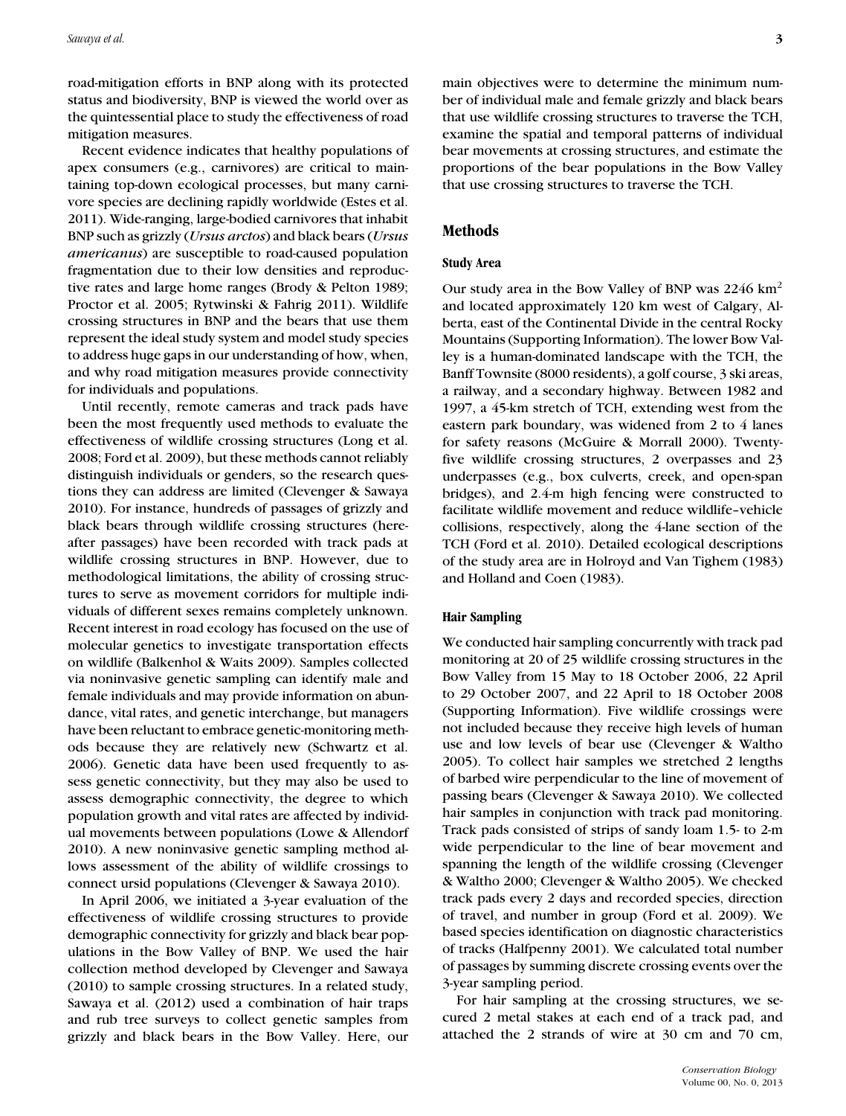road-mitigation efforts in BNP along with its protected status and biodiversity, BNP is viewed the world over as the quintessential place to study the effectiveness of road mitigation measures.

Recent evidence indicates that healthy populations of apex consumers (e.g., carnivores) are critical to maintaining top-down ecological processes, but many carnivore species are declining rapidly worldwide (Estes et al. 2011). Wide-ranging, large-bodied carnivores that inhabit BNP such as grizzly (*Ursus arctos*) and black bears (*Ursus americanus*) are susceptible to road-caused population fragmentation due to their low densities and reproductive rates and large home ranges (Brody & Pelton 1989; Proctor et al. 2005; Rytwinski & Fahrig 2011). Wildlife crossing structures in BNP and the bears that use them represent the ideal study system and model study species to address huge gaps in our understanding of how, when, and why road mitigation measures provide connectivity for individuals and populations.

Until recently, remote cameras and track pads have been the most frequently used methods to evaluate the effectiveness of wildlife crossing structures (Long et al. 2008; Ford et al. 2009), but these methods cannot reliably distinguish individuals or genders, so the research questions they can address are limited (Clevenger & Sawaya 2010). For instance, hundreds of passages of grizzly and black bears through wildlife crossing structures (hereafter passages) have been recorded with track pads at wildlife crossing structures in BNP. However, due to methodological limitations, the ability of crossing structures to serve as movement corridors for multiple individuals of different sexes remains completely unknown. Recent interest in road ecology has focused on the use of molecular genetics to investigate transportation effects on wildlife (Balkenhol & Waits 2009). Samples collected via noninvasive genetic sampling can identify male and female individuals and may provide information on abundance, vital rates, and genetic interchange, but managers have been reluctant to embrace genetic-monitoring methods because they are relatively new (Schwartz et al. 2006). Genetic data have been used frequently to assess genetic connectivity, but they may also be used to assess demographic connectivity, the degree to which population growth and vital rates are affected by individual movements between populations (Lowe & Allendorf 2010). A new noninvasive genetic sampling method allows assessment of the ability of wildlife crossings to connect ursid populations (Clevenger & Sawaya 2010).

In April 2006, we initiated a 3-year evaluation of the effectiveness of wildlife crossing structures to provide demographic connectivity for grizzly and black bear populations in the Bow Valley of BNP. We used the hair collection method developed by Clevenger and Sawaya (2010) to sample crossing structures. In a related study, Sawaya et al. (2012) used a combination of hair traps and rub tree surveys to collect genetic samples from grizzly and black bears in the Bow Valley. Here, our main objectives were to determine the minimum number of individual male and female grizzly and black bears that use wildlife crossing structures to traverse the TCH, examine the spatial and temporal patterns of individual bear movements at crossing structures, and estimate the proportions of the bear populations in the Bow Valley that use crossing structures to traverse the TCH.

## **Methods**

#### **Study Area**

Our study area in the Bow Valley of BNP was  $2246 \text{ km}^2$ and located approximately 120 km west of Calgary, Alberta, east of the Continental Divide in the central Rocky Mountains (Supporting Information). The lower Bow Valley is a human-dominated landscape with the TCH, the Banff Townsite (8000 residents), a golf course, 3 ski areas, a railway, and a secondary highway. Between 1982 and 1997, a 45-km stretch of TCH, extending west from the eastern park boundary, was widened from 2 to 4 lanes for safety reasons (McGuire & Morrall 2000). Twentyfive wildlife crossing structures, 2 overpasses and 23 underpasses (e.g., box culverts, creek, and open-span bridges), and 2.4-m high fencing were constructed to facilitate wildlife movement and reduce wildlife–vehicle collisions, respectively, along the 4-lane section of the TCH (Ford et al. 2010). Detailed ecological descriptions of the study area are in Holroyd and Van Tighem (1983) and Holland and Coen (1983).

#### **Hair Sampling**

We conducted hair sampling concurrently with track pad monitoring at 20 of 25 wildlife crossing structures in the Bow Valley from 15 May to 18 October 2006, 22 April to 29 October 2007, and 22 April to 18 October 2008 (Supporting Information). Five wildlife crossings were not included because they receive high levels of human use and low levels of bear use (Clevenger & Waltho 2005). To collect hair samples we stretched 2 lengths of barbed wire perpendicular to the line of movement of passing bears (Clevenger & Sawaya 2010). We collected hair samples in conjunction with track pad monitoring. Track pads consisted of strips of sandy loam 1.5- to 2-m wide perpendicular to the line of bear movement and spanning the length of the wildlife crossing (Clevenger & Waltho 2000; Clevenger & Waltho 2005). We checked track pads every 2 days and recorded species, direction of travel, and number in group (Ford et al. 2009). We based species identification on diagnostic characteristics of tracks (Halfpenny 2001). We calculated total number of passages by summing discrete crossing events over the 3-year sampling period.

For hair sampling at the crossing structures, we secured 2 metal stakes at each end of a track pad, and attached the 2 strands of wire at 30 cm and 70 cm,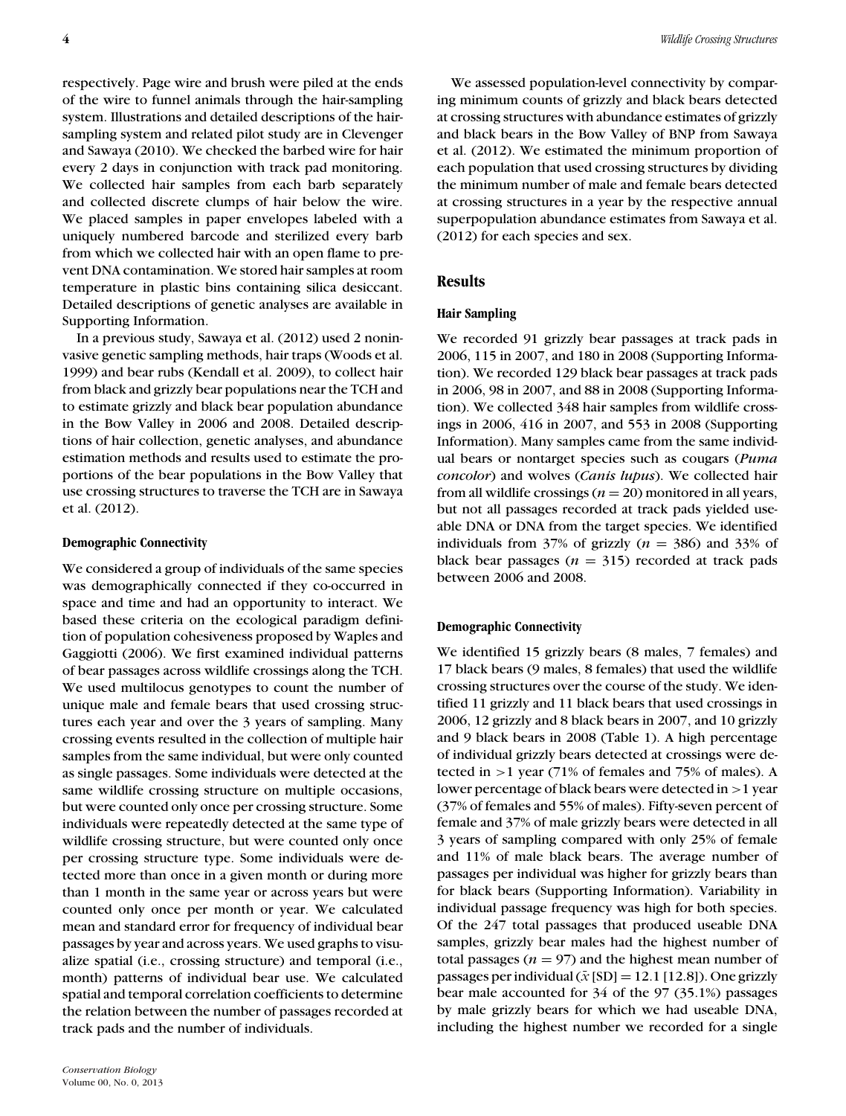respectively. Page wire and brush were piled at the ends of the wire to funnel animals through the hair-sampling system. Illustrations and detailed descriptions of the hairsampling system and related pilot study are in Clevenger and Sawaya (2010). We checked the barbed wire for hair every 2 days in conjunction with track pad monitoring. We collected hair samples from each barb separately and collected discrete clumps of hair below the wire. We placed samples in paper envelopes labeled with a uniquely numbered barcode and sterilized every barb from which we collected hair with an open flame to prevent DNA contamination. We stored hair samples at room temperature in plastic bins containing silica desiccant. Detailed descriptions of genetic analyses are available in Supporting Information.

In a previous study, Sawaya et al. (2012) used 2 noninvasive genetic sampling methods, hair traps (Woods et al. 1999) and bear rubs (Kendall et al. 2009), to collect hair from black and grizzly bear populations near the TCH and to estimate grizzly and black bear population abundance in the Bow Valley in 2006 and 2008. Detailed descriptions of hair collection, genetic analyses, and abundance estimation methods and results used to estimate the proportions of the bear populations in the Bow Valley that use crossing structures to traverse the TCH are in Sawaya et al. (2012).

### **Demographic Connectivity**

We considered a group of individuals of the same species was demographically connected if they co-occurred in space and time and had an opportunity to interact. We based these criteria on the ecological paradigm definition of population cohesiveness proposed by Waples and Gaggiotti (2006). We first examined individual patterns of bear passages across wildlife crossings along the TCH. We used multilocus genotypes to count the number of unique male and female bears that used crossing structures each year and over the 3 years of sampling. Many crossing events resulted in the collection of multiple hair samples from the same individual, but were only counted as single passages. Some individuals were detected at the same wildlife crossing structure on multiple occasions, but were counted only once per crossing structure. Some individuals were repeatedly detected at the same type of wildlife crossing structure, but were counted only once per crossing structure type. Some individuals were detected more than once in a given month or during more than 1 month in the same year or across years but were counted only once per month or year. We calculated mean and standard error for frequency of individual bear passages by year and across years. We used graphs to visualize spatial (i.e., crossing structure) and temporal (i.e., month) patterns of individual bear use. We calculated spatial and temporal correlation coefficients to determine the relation between the number of passages recorded at track pads and the number of individuals.

We assessed population-level connectivity by comparing minimum counts of grizzly and black bears detected at crossing structures with abundance estimates of grizzly and black bears in the Bow Valley of BNP from Sawaya et al. (2012). We estimated the minimum proportion of each population that used crossing structures by dividing the minimum number of male and female bears detected at crossing structures in a year by the respective annual superpopulation abundance estimates from Sawaya et al. (2012) for each species and sex.

## **Results**

#### **Hair Sampling**

We recorded 91 grizzly bear passages at track pads in 2006, 115 in 2007, and 180 in 2008 (Supporting Information). We recorded 129 black bear passages at track pads in 2006, 98 in 2007, and 88 in 2008 (Supporting Information). We collected 348 hair samples from wildlife crossings in 2006, 416 in 2007, and 553 in 2008 (Supporting Information). Many samples came from the same individual bears or nontarget species such as cougars (*Puma concolor*) and wolves (*Canis lupus*). We collected hair from all wildlife crossings  $(n = 20)$  monitored in all years, but not all passages recorded at track pads yielded useable DNA or DNA from the target species. We identified individuals from 37% of grizzly  $(n = 386)$  and 33% of black bear passages ( $n = 315$ ) recorded at track pads between 2006 and 2008.

#### **Demographic Connectivity**

We identified 15 grizzly bears (8 males, 7 females) and 17 black bears (9 males, 8 females) that used the wildlife crossing structures over the course of the study. We identified 11 grizzly and 11 black bears that used crossings in 2006, 12 grizzly and 8 black bears in 2007, and 10 grizzly and 9 black bears in 2008 (Table 1). A high percentage of individual grizzly bears detected at crossings were detected in *>*1 year (71% of females and 75% of males). A lower percentage of black bears were detected in *>*1 year (37% of females and 55% of males). Fifty-seven percent of female and 37% of male grizzly bears were detected in all 3 years of sampling compared with only 25% of female and 11% of male black bears. The average number of passages per individual was higher for grizzly bears than for black bears (Supporting Information). Variability in individual passage frequency was high for both species. Of the 247 total passages that produced useable DNA samples, grizzly bear males had the highest number of total passages  $(n = 97)$  and the highest mean number of passages per individual  $(\bar{x}$  [SD] = 12.1 [12.8]). One grizzly bear male accounted for 34 of the 97 (35.1%) passages by male grizzly bears for which we had useable DNA, including the highest number we recorded for a single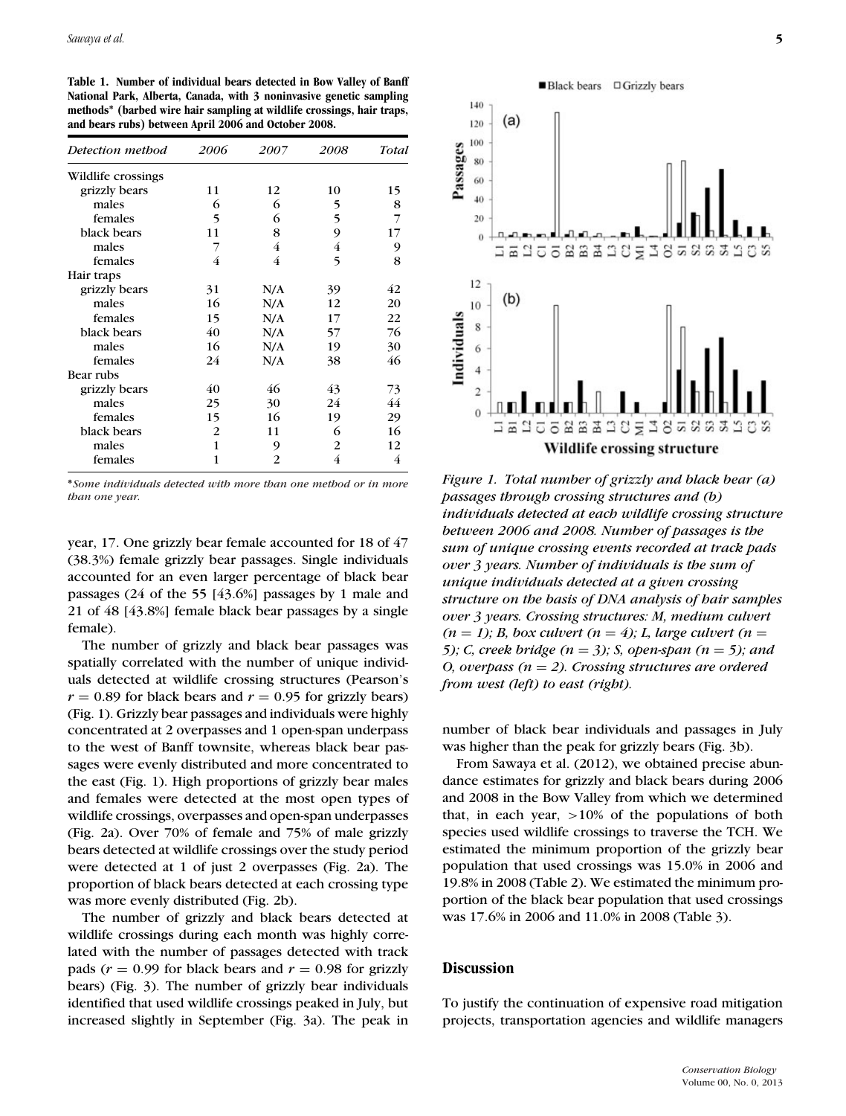**Table 1. Number of individual bears detected in Bow Valley of Banff National Park, Alberta, Canada, with 3 noninvasive genetic sampling methods<sup>∗</sup> (barbed wire hair sampling at wildlife crossings, hair traps, and bears rubs) between April 2006 and October 2008.**

| Detection method   | 2006 | 2007 | <i>2008</i> | Total |
|--------------------|------|------|-------------|-------|
| Wildlife crossings |      |      |             |       |
| grizzly bears      | 11   | 12   | 10          | 15    |
| males              | 6    | 6    | 5           | 8     |
| females            | 5    | 6    | 5           | 7     |
| black bears        | 11   | 8    | 9           | 17    |
| males              | 7    | 4    | 4           | 9     |
| females            | 4    | 4    | 5           | 8     |
| Hair traps         |      |      |             |       |
| grizzly bears      | 31   | N/A  | 39          | 42    |
| males              | 16   | N/A  | 12          | 20    |
| females            | 15   | N/A  | 17          | 22    |
| black bears        | 40   | N/A  | 57          | 76    |
| males              | 16   | N/A  | 19          | 30    |
| females            | 24   | N/A  | 38          | 46    |
| Bear rubs          |      |      |             |       |
| grizzly bears      | 40   | 46   | 43          | 73    |
| males              | 25   | 30   | 24          | 44    |
| females            | 15   | 16   | 19          | 29    |
| black bears        | 2    | 11   | 6           | 16    |
| males              | 1    | 9    | 2           | 12    |
| females            | 1    | 2    | 4           | 4     |

**<sup>∗</sup>***Some individuals detected with more than one method or in more than one year.*

year, 17. One grizzly bear female accounted for 18 of 47 (38.3%) female grizzly bear passages. Single individuals accounted for an even larger percentage of black bear passages (24 of the 55 [43.6%] passages by 1 male and 21 of 48 [43.8%] female black bear passages by a single female).

The number of grizzly and black bear passages was spatially correlated with the number of unique individuals detected at wildlife crossing structures (Pearson's  $r = 0.89$  for black bears and  $r = 0.95$  for grizzly bears) (Fig. 1). Grizzly bear passages and individuals were highly concentrated at 2 overpasses and 1 open-span underpass to the west of Banff townsite, whereas black bear passages were evenly distributed and more concentrated to the east (Fig. 1). High proportions of grizzly bear males and females were detected at the most open types of wildlife crossings, overpasses and open-span underpasses (Fig. 2a). Over 70% of female and 75% of male grizzly bears detected at wildlife crossings over the study period were detected at 1 of just 2 overpasses (Fig. 2a). The proportion of black bears detected at each crossing type was more evenly distributed (Fig. 2b).

The number of grizzly and black bears detected at wildlife crossings during each month was highly correlated with the number of passages detected with track pads ( $r = 0.99$  for black bears and  $r = 0.98$  for grizzly bears) (Fig. 3). The number of grizzly bear individuals identified that used wildlife crossings peaked in July, but increased slightly in September (Fig. 3a). The peak in



*Figure 1. Total number of grizzly and black bear (a)*

*passages through crossing structures and (b) individuals detected at each wildlife crossing structure between 2006 and 2008. Number of passages is the sum of unique crossing events recorded at track pads over 3 years. Number of individuals is the sum of unique individuals detected at a given crossing structure on the basis of DNA analysis of hair samples over 3 years. Crossing structures: M, medium culvert*  $(n = 1)$ ; B, box culvert  $(n = 4)$ ; L, large culvert  $(n = 1)$ *5); C, creek bridge (n* = *3); S, open-span (n* = *5); and O, overpass (n* = *2). Crossing structures are ordered from west (left) to east (right).*

number of black bear individuals and passages in July was higher than the peak for grizzly bears (Fig. 3b).

From Sawaya et al. (2012), we obtained precise abundance estimates for grizzly and black bears during 2006 and 2008 in the Bow Valley from which we determined that, in each year, *>*10% of the populations of both species used wildlife crossings to traverse the TCH. We estimated the minimum proportion of the grizzly bear population that used crossings was 15.0% in 2006 and 19.8% in 2008 (Table 2). We estimated the minimum proportion of the black bear population that used crossings was 17.6% in 2006 and 11.0% in 2008 (Table 3).

## **Discussion**

To justify the continuation of expensive road mitigation projects, transportation agencies and wildlife managers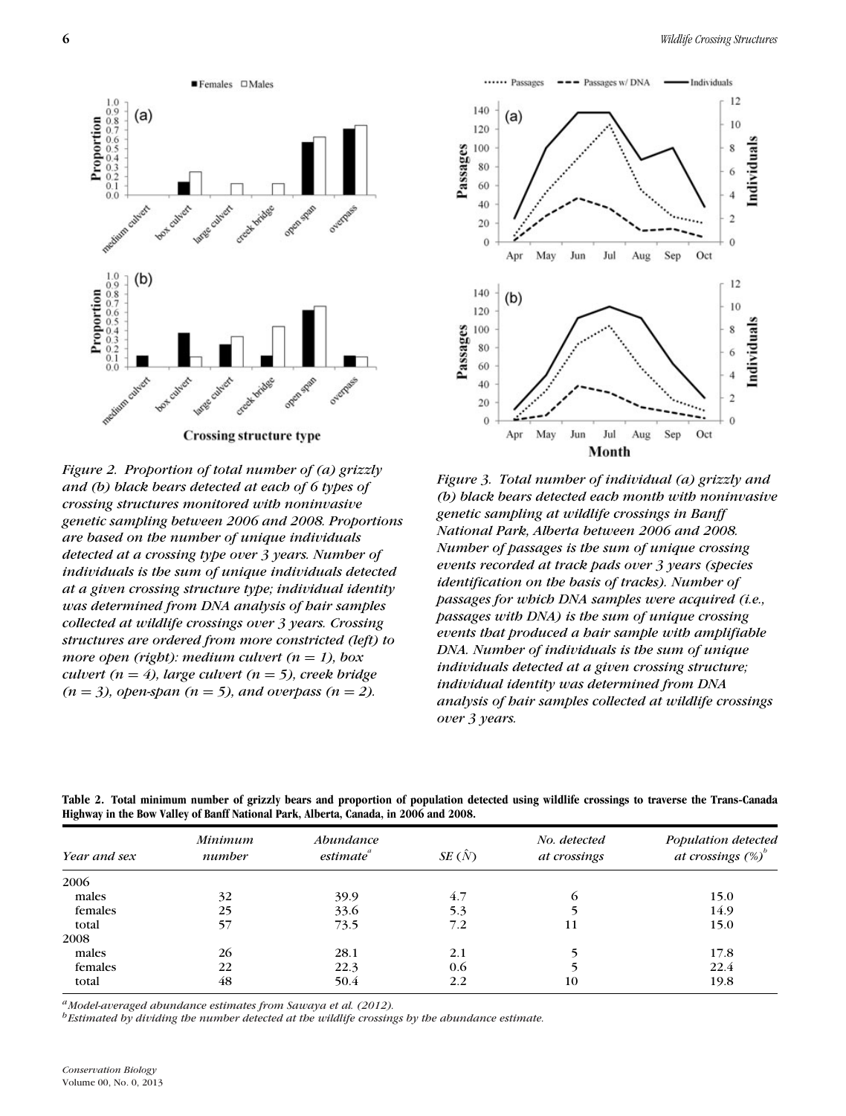

*Figure 2. Proportion of total number of (a) grizzly and (b) black bears detected at each of 6 types of crossing structures monitored with noninvasive genetic sampling between 2006 and 2008. Proportions are based on the number of unique individuals detected at a crossing type over 3 years. Number of individuals is the sum of unique individuals detected at a given crossing structure type; individual identity was determined from DNA analysis of hair samples collected at wildlife crossings over 3 years. Crossing structures are ordered from more constricted (left) to more open (right): medium culvert*  $(n = 1)$ *, box culvert* ( $n = 4$ ), large culvert ( $n = 5$ ), creek bridge  $(n = 3)$ , open-span  $(n = 5)$ , and overpass  $(n = 2)$ .



*Figure 3. Total number of individual (a) grizzly and (b) black bears detected each month with noninvasive genetic sampling at wildlife crossings in Banff National Park, Alberta between 2006 and 2008. Number of passages is the sum of unique crossing events recorded at track pads over 3 years (species identification on the basis of tracks). Number of passages for which DNA samples were acquired (i.e., passages with DNA) is the sum of unique crossing events that produced a hair sample with amplifiable DNA. Number of individuals is the sum of unique individuals detected at a given crossing structure; individual identity was determined from DNA analysis of hair samples collected at wildlife crossings over 3 years.*

| Year and sex | <i><b>Minimum</b></i><br>number | Abundance<br>estimate" | SE $(\hat{N})$ | No. detected<br>at crossings | Population detected<br>at crossings $(\%)^b$ |
|--------------|---------------------------------|------------------------|----------------|------------------------------|----------------------------------------------|
| 2006         |                                 |                        |                |                              |                                              |
| males        | 32                              | 39.9                   | 4.7            | $^{(1)}$                     | 15.0                                         |
| females      | 25                              | 33.6                   | 5.3            |                              | 14.9                                         |
| total        | 57                              | 73.5                   | 7.2            | 11                           | 15.0                                         |
| 2008         |                                 |                        |                |                              |                                              |
| males        | 26                              | 28.1                   | 2.1            |                              | 17.8                                         |
| females      | 22                              | 22.3                   | 0.6            |                              | 22.4                                         |
| total        | 48                              | 50.4                   | 2.2            | 10                           | 19.8                                         |

**Table 2. Total minimum number of grizzly bears and proportion of population detected using wildlife crossings to traverse the Trans-Canada Highway in the Bow Valley of Banff National Park, Alberta, Canada, in 2006 and 2008.**

*aModel-averaged abundance estimates from Sawaya et al. (2012).*

*bEstimated by dividing the number detected at the wildlife crossings by the abundance estimate.*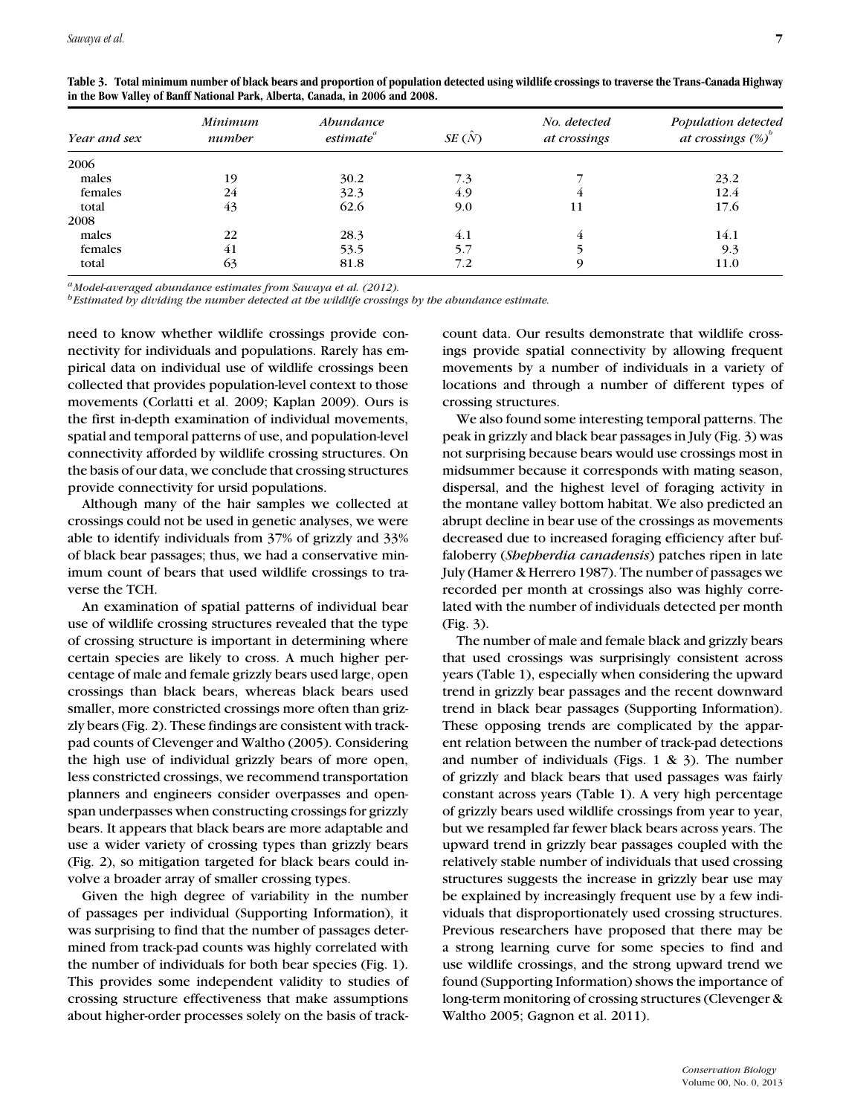| Year and sex | <b>Minimum</b><br>number | Abundance<br>estimate <sup>ª</sup> | SE(N) | No. detected<br>at crossings | Population detected<br>at crossings $(\%)^b$ |
|--------------|--------------------------|------------------------------------|-------|------------------------------|----------------------------------------------|
| 2006         |                          |                                    |       |                              |                                              |
| males        | 19                       | 30.2                               | 7.3   |                              | 23.2                                         |
| females      | 24                       | 32.3                               | 4.9   |                              | 12.4                                         |
| total        | 43                       | 62.6                               | 9.0   | 11                           | 17.6                                         |
| 2008         |                          |                                    |       |                              |                                              |
| males        | 22                       | 28.3                               | 4.1   |                              | 14.1                                         |
| females      | 41                       | 53.5                               | 5.7   |                              | 9.3                                          |
| total        | 63                       | 81.8                               | 7.2   |                              | 11.0                                         |

**Table 3. Total minimum number of black bears and proportion of population detected using wildlife crossings to traverse the Trans-Canada Highway in the Bow Valley of Banff National Park, Alberta, Canada, in 2006 and 2008.**

*aModel-averaged abundance estimates from Sawaya et al. (2012).*

*bEstimated by dividing the number detected at the wildlife crossings by the abundance estimate.*

need to know whether wildlife crossings provide connectivity for individuals and populations. Rarely has empirical data on individual use of wildlife crossings been collected that provides population-level context to those movements (Corlatti et al. 2009; Kaplan 2009). Ours is the first in-depth examination of individual movements, spatial and temporal patterns of use, and population-level connectivity afforded by wildlife crossing structures. On the basis of our data, we conclude that crossing structures provide connectivity for ursid populations.

Although many of the hair samples we collected at crossings could not be used in genetic analyses, we were able to identify individuals from 37% of grizzly and 33% of black bear passages; thus, we had a conservative minimum count of bears that used wildlife crossings to traverse the TCH.

An examination of spatial patterns of individual bear use of wildlife crossing structures revealed that the type of crossing structure is important in determining where certain species are likely to cross. A much higher percentage of male and female grizzly bears used large, open crossings than black bears, whereas black bears used smaller, more constricted crossings more often than grizzly bears (Fig. 2). These findings are consistent with trackpad counts of Clevenger and Waltho (2005). Considering the high use of individual grizzly bears of more open, less constricted crossings, we recommend transportation planners and engineers consider overpasses and openspan underpasses when constructing crossings for grizzly bears. It appears that black bears are more adaptable and use a wider variety of crossing types than grizzly bears (Fig. 2), so mitigation targeted for black bears could involve a broader array of smaller crossing types.

Given the high degree of variability in the number of passages per individual (Supporting Information), it was surprising to find that the number of passages determined from track-pad counts was highly correlated with the number of individuals for both bear species (Fig. 1). This provides some independent validity to studies of crossing structure effectiveness that make assumptions about higher-order processes solely on the basis of trackcount data. Our results demonstrate that wildlife crossings provide spatial connectivity by allowing frequent movements by a number of individuals in a variety of locations and through a number of different types of crossing structures.

We also found some interesting temporal patterns. The peak in grizzly and black bear passages in July (Fig. 3) was not surprising because bears would use crossings most in midsummer because it corresponds with mating season, dispersal, and the highest level of foraging activity in the montane valley bottom habitat. We also predicted an abrupt decline in bear use of the crossings as movements decreased due to increased foraging efficiency after buffaloberry (*Shepherdia canadensis*) patches ripen in late July (Hamer & Herrero 1987). The number of passages we recorded per month at crossings also was highly correlated with the number of individuals detected per month (Fig. 3).

The number of male and female black and grizzly bears that used crossings was surprisingly consistent across years (Table 1), especially when considering the upward trend in grizzly bear passages and the recent downward trend in black bear passages (Supporting Information). These opposing trends are complicated by the apparent relation between the number of track-pad detections and number of individuals (Figs. 1 & 3). The number of grizzly and black bears that used passages was fairly constant across years (Table 1). A very high percentage of grizzly bears used wildlife crossings from year to year, but we resampled far fewer black bears across years. The upward trend in grizzly bear passages coupled with the relatively stable number of individuals that used crossing structures suggests the increase in grizzly bear use may be explained by increasingly frequent use by a few individuals that disproportionately used crossing structures. Previous researchers have proposed that there may be a strong learning curve for some species to find and use wildlife crossings, and the strong upward trend we found (Supporting Information) shows the importance of long-term monitoring of crossing structures (Clevenger & Waltho 2005; Gagnon et al. 2011).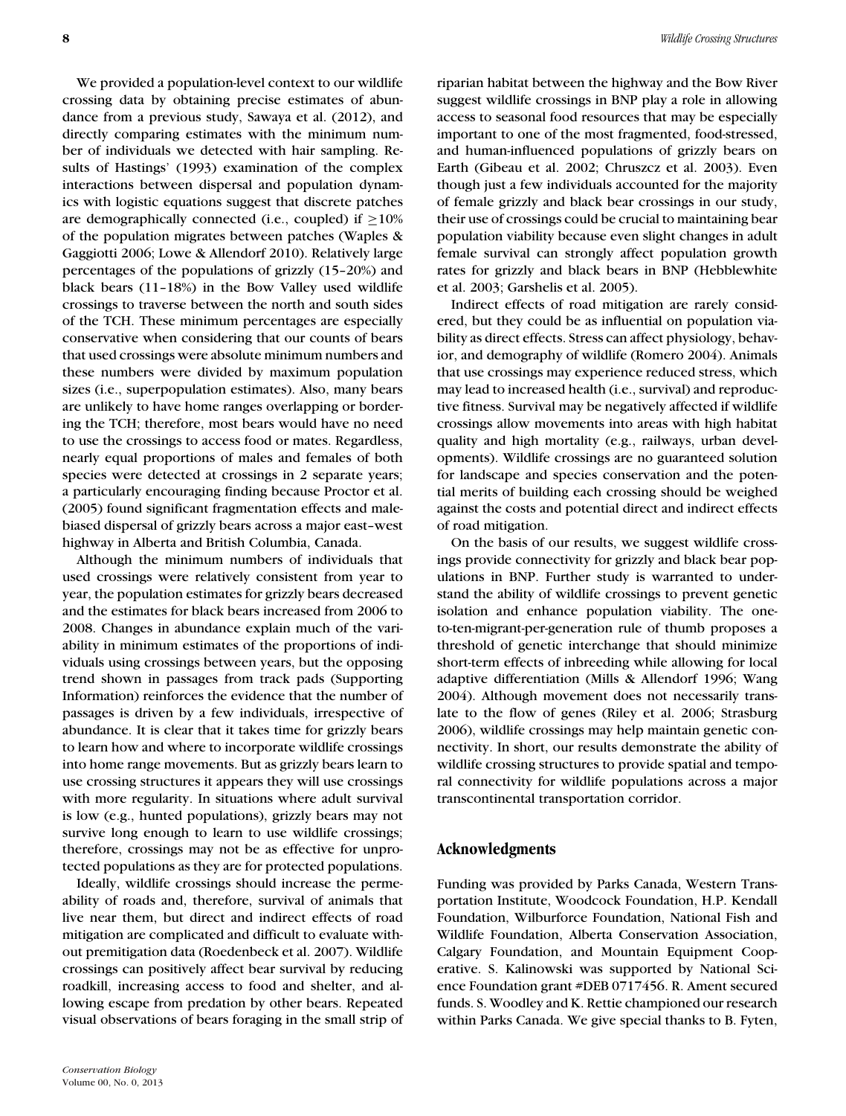We provided a population-level context to our wildlife crossing data by obtaining precise estimates of abundance from a previous study, Sawaya et al. (2012), and directly comparing estimates with the minimum number of individuals we detected with hair sampling. Results of Hastings' (1993) examination of the complex interactions between dispersal and population dynamics with logistic equations suggest that discrete patches are demographically connected (i.e., coupled) if  $\geq$ 10% of the population migrates between patches (Waples & Gaggiotti 2006; Lowe & Allendorf 2010). Relatively large percentages of the populations of grizzly (15–20%) and black bears (11–18%) in the Bow Valley used wildlife crossings to traverse between the north and south sides of the TCH. These minimum percentages are especially conservative when considering that our counts of bears that used crossings were absolute minimum numbers and these numbers were divided by maximum population sizes (i.e., superpopulation estimates). Also, many bears are unlikely to have home ranges overlapping or bordering the TCH; therefore, most bears would have no need to use the crossings to access food or mates. Regardless, nearly equal proportions of males and females of both species were detected at crossings in 2 separate years; a particularly encouraging finding because Proctor et al. (2005) found significant fragmentation effects and malebiased dispersal of grizzly bears across a major east–west highway in Alberta and British Columbia, Canada.

Although the minimum numbers of individuals that used crossings were relatively consistent from year to year, the population estimates for grizzly bears decreased and the estimates for black bears increased from 2006 to 2008. Changes in abundance explain much of the variability in minimum estimates of the proportions of individuals using crossings between years, but the opposing trend shown in passages from track pads (Supporting Information) reinforces the evidence that the number of passages is driven by a few individuals, irrespective of abundance. It is clear that it takes time for grizzly bears to learn how and where to incorporate wildlife crossings into home range movements. But as grizzly bears learn to use crossing structures it appears they will use crossings with more regularity. In situations where adult survival is low (e.g., hunted populations), grizzly bears may not survive long enough to learn to use wildlife crossings; therefore, crossings may not be as effective for unprotected populations as they are for protected populations.

Ideally, wildlife crossings should increase the permeability of roads and, therefore, survival of animals that live near them, but direct and indirect effects of road mitigation are complicated and difficult to evaluate without premitigation data (Roedenbeck et al. 2007). Wildlife crossings can positively affect bear survival by reducing roadkill, increasing access to food and shelter, and allowing escape from predation by other bears. Repeated visual observations of bears foraging in the small strip of riparian habitat between the highway and the Bow River suggest wildlife crossings in BNP play a role in allowing access to seasonal food resources that may be especially important to one of the most fragmented, food-stressed, and human-influenced populations of grizzly bears on Earth (Gibeau et al. 2002; Chruszcz et al. 2003). Even though just a few individuals accounted for the majority of female grizzly and black bear crossings in our study, their use of crossings could be crucial to maintaining bear population viability because even slight changes in adult female survival can strongly affect population growth rates for grizzly and black bears in BNP (Hebblewhite et al. 2003; Garshelis et al. 2005).

Indirect effects of road mitigation are rarely considered, but they could be as influential on population viability as direct effects. Stress can affect physiology, behavior, and demography of wildlife (Romero 2004). Animals that use crossings may experience reduced stress, which may lead to increased health (i.e., survival) and reproductive fitness. Survival may be negatively affected if wildlife crossings allow movements into areas with high habitat quality and high mortality (e.g., railways, urban developments). Wildlife crossings are no guaranteed solution for landscape and species conservation and the potential merits of building each crossing should be weighed against the costs and potential direct and indirect effects of road mitigation.

On the basis of our results, we suggest wildlife crossings provide connectivity for grizzly and black bear populations in BNP. Further study is warranted to understand the ability of wildlife crossings to prevent genetic isolation and enhance population viability. The oneto-ten-migrant-per-generation rule of thumb proposes a threshold of genetic interchange that should minimize short-term effects of inbreeding while allowing for local adaptive differentiation (Mills & Allendorf 1996; Wang 2004). Although movement does not necessarily translate to the flow of genes (Riley et al. 2006; Strasburg 2006), wildlife crossings may help maintain genetic connectivity. In short, our results demonstrate the ability of wildlife crossing structures to provide spatial and temporal connectivity for wildlife populations across a major transcontinental transportation corridor.

#### **Acknowledgments**

Funding was provided by Parks Canada, Western Transportation Institute, Woodcock Foundation, H.P. Kendall Foundation, Wilburforce Foundation, National Fish and Wildlife Foundation, Alberta Conservation Association, Calgary Foundation, and Mountain Equipment Cooperative. S. Kalinowski was supported by National Science Foundation grant #DEB 0717456. R. Ament secured funds. S. Woodley and K. Rettie championed our research within Parks Canada. We give special thanks to B. Fyten,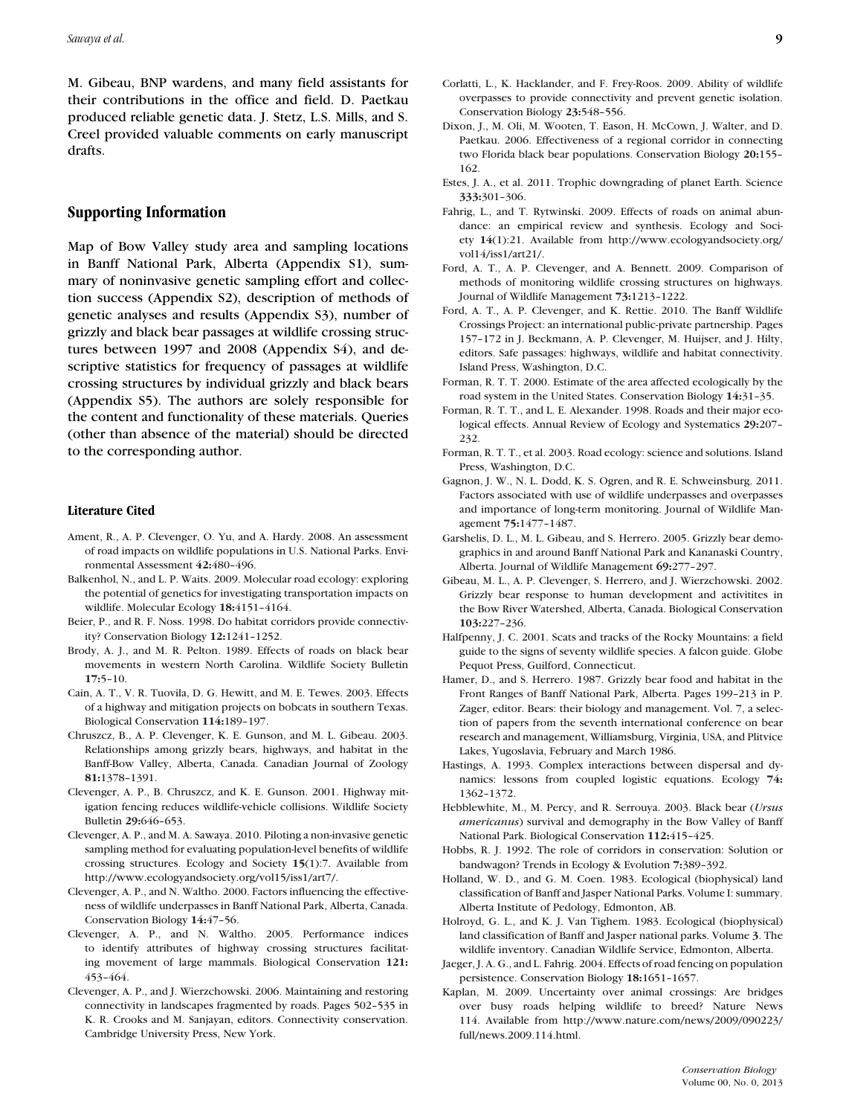M. Gibeau, BNP wardens, and many field assistants for their contributions in the office and field. D. Paetkau produced reliable genetic data. J. Stetz, L.S. Mills, and S. Creel provided valuable comments on early manuscript drafts.

#### **Supporting Information**

Map of Bow Valley study area and sampling locations in Banff National Park, Alberta (Appendix S1), summary of noninvasive genetic sampling effort and collection success (Appendix S2), description of methods of genetic analyses and results (Appendix S3), number of grizzly and black bear passages at wildlife crossing structures between 1997 and 2008 (Appendix S4), and descriptive statistics for frequency of passages at wildlife crossing structures by individual grizzly and black bears (Appendix S5). The authors are solely responsible for the content and functionality of these materials. Queries (other than absence of the material) should be directed to the corresponding author.

#### **Literature Cited**

- Ament, R., A. P. Clevenger, O. Yu, and A. Hardy. 2008. An assessment of road impacts on wildlife populations in U.S. National Parks. Environmental Assessment **42:**480–496.
- Balkenhol, N., and L. P. Waits. 2009. Molecular road ecology: exploring the potential of genetics for investigating transportation impacts on wildlife. Molecular Ecology **18:**4151–4164.
- Beier, P., and R. F. Noss. 1998. Do habitat corridors provide connectivity? Conservation Biology **12:**1241–1252.
- Brody, A. J., and M. R. Pelton. 1989. Effects of roads on black bear movements in western North Carolina. Wildlife Society Bulletin **17:**5–10.
- Cain, A. T., V. R. Tuovila, D. G. Hewitt, and M. E. Tewes. 2003. Effects of a highway and mitigation projects on bobcats in southern Texas. Biological Conservation **114:**189–197.
- Chruszcz, B., A. P. Clevenger, K. E. Gunson, and M. L. Gibeau. 2003. Relationships among grizzly bears, highways, and habitat in the Banff-Bow Valley, Alberta, Canada. Canadian Journal of Zoology **81:**1378–1391.
- Clevenger, A. P., B. Chruszcz, and K. E. Gunson. 2001. Highway mitigation fencing reduces wildlife-vehicle collisions. Wildlife Society Bulletin **29:**646–653.
- Clevenger, A. P., and M. A. Sawaya. 2010. Piloting a non-invasive genetic sampling method for evaluating population-level benefits of wildlife crossing structures. Ecology and Society **15**(1):7. Available from http://www.ecologyandsociety.org/vol15/iss1/art7/.
- Clevenger, A. P., and N. Waltho. 2000. Factors influencing the effectiveness of wildlife underpasses in Banff National Park, Alberta, Canada. Conservation Biology **14:**47–56.
- Clevenger, A. P., and N. Waltho. 2005. Performance indices to identify attributes of highway crossing structures facilitating movement of large mammals. Biological Conservation **121:** 453–464.
- Clevenger, A. P., and J. Wierzchowski. 2006. Maintaining and restoring connectivity in landscapes fragmented by roads. Pages 502–535 in K. R. Crooks and M. Sanjayan, editors. Connectivity conservation. Cambridge University Press, New York.
- Corlatti, L., K. Hacklander, and F. Frey-Roos. 2009. Ability of wildlife overpasses to provide connectivity and prevent genetic isolation. Conservation Biology **23:**548–556.
- Dixon, J., M. Oli, M. Wooten, T. Eason, H. McCown, J. Walter, and D. Paetkau. 2006. Effectiveness of a regional corridor in connecting two Florida black bear populations. Conservation Biology **20:**155– 162.
- Estes, J. A., et al. 2011. Trophic downgrading of planet Earth. Science **333:**301–306.
- Fahrig, L., and T. Rytwinski. 2009. Effects of roads on animal abundance: an empirical review and synthesis. Ecology and Society **14**(1):21. Available from http://www.ecologyandsociety.org/ vol14/iss1/art21/.
- Ford, A. T., A. P. Clevenger, and A. Bennett. 2009. Comparison of methods of monitoring wildlife crossing structures on highways. Journal of Wildlife Management **73:**1213–1222.
- Ford, A. T., A. P. Clevenger, and K. Rettie. 2010. The Banff Wildlife Crossings Project: an international public-private partnership. Pages 157–172 in J. Beckmann, A. P. Clevenger, M. Huijser, and J. Hilty, editors. Safe passages: highways, wildlife and habitat connectivity. Island Press, Washington, D.C.
- Forman, R. T. T. 2000. Estimate of the area affected ecologically by the road system in the United States. Conservation Biology **14:**31–35.
- Forman, R. T. T., and L. E. Alexander. 1998. Roads and their major ecological effects. Annual Review of Ecology and Systematics **29:**207– 232.
- Forman, R. T. T., et al. 2003. Road ecology: science and solutions. Island Press, Washington, D.C.
- Gagnon, J. W., N. L. Dodd, K. S. Ogren, and R. E. Schweinsburg. 2011. Factors associated with use of wildlife underpasses and overpasses and importance of long-term monitoring. Journal of Wildlife Management **75:**1477–1487.
- Garshelis, D. L., M. L. Gibeau, and S. Herrero. 2005. Grizzly bear demographics in and around Banff National Park and Kananaski Country, Alberta. Journal of Wildlife Management **69:**277–297.
- Gibeau, M. L., A. P. Clevenger, S. Herrero, and J. Wierzchowski. 2002. Grizzly bear response to human development and activitites in the Bow River Watershed, Alberta, Canada. Biological Conservation **103:**227–236.
- Halfpenny, J. C. 2001. Scats and tracks of the Rocky Mountains: a field guide to the signs of seventy wildlife species. A falcon guide. Globe Pequot Press, Guilford, Connecticut.
- Hamer, D., and S. Herrero. 1987. Grizzly bear food and habitat in the Front Ranges of Banff National Park, Alberta. Pages 199–213 in P. Zager, editor. Bears: their biology and management. Vol. 7, a selection of papers from the seventh international conference on bear research and management, Williamsburg, Virginia, USA, and Plitvice Lakes, Yugoslavia, February and March 1986.
- Hastings, A. 1993. Complex interactions between dispersal and dynamics: lessons from coupled logistic equations. Ecology **74:** 1362–1372.
- Hebblewhite, M., M. Percy, and R. Serrouya. 2003. Black bear (*Ursus americanus*) survival and demography in the Bow Valley of Banff National Park. Biological Conservation **112:**415–425.
- Hobbs, R. J. 1992. The role of corridors in conservation: Solution or bandwagon? Trends in Ecology & Evolution **7:**389–392.
- Holland, W. D., and G. M. Coen. 1983. Ecological (biophysical) land classification of Banff and Jasper National Parks. Volume I: summary. Alberta Institute of Pedology, Edmonton, AB.
- Holroyd, G. L., and K. J. Van Tighem. 1983. Ecological (biophysical) land classification of Banff and Jasper national parks. Volume **3**. The wildlife inventory. Canadian Wildlife Service, Edmonton, Alberta.
- Jaeger, J. A. G., and L. Fahrig. 2004. Effects of road fencing on population persistence. Conservation Biology **18:**1651–1657.
- Kaplan, M. 2009. Uncertainty over animal crossings: Are bridges over busy roads helping wildlife to breed? Nature News 114. Available from http://www.nature.com/news/2009/090223/ full/news.2009.114.html.